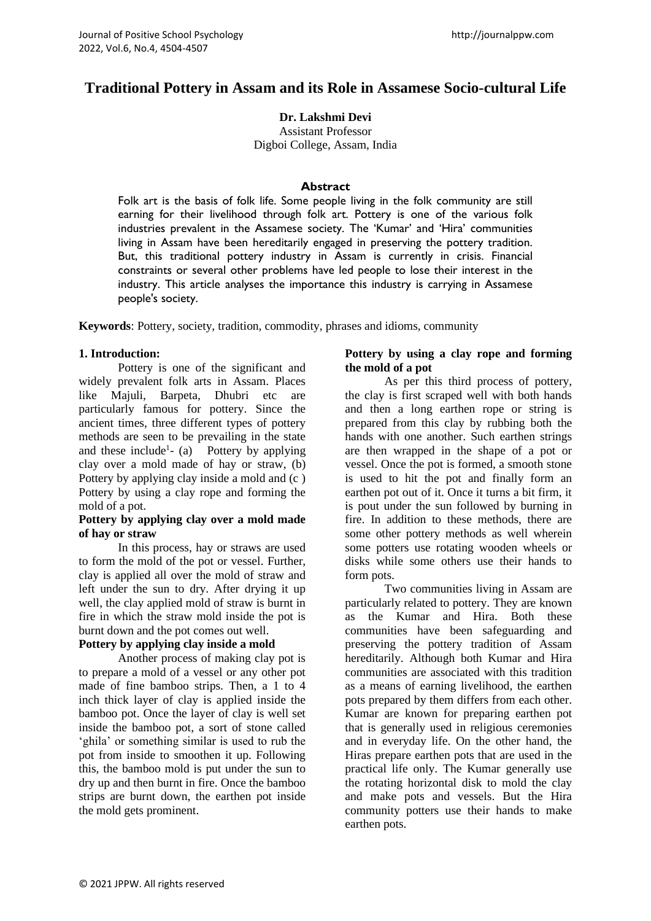# **Traditional Pottery in Assam and its Role in Assamese Socio-cultural Life**

**Dr. Lakshmi Devi** Assistant Professor

Digboi College, Assam, India

# **Abstract**

Folk art is the basis of folk life. Some people living in the folk community are still earning for their livelihood through folk art. Pottery is one of the various folk industries prevalent in the Assamese society. The 'Kumar' and 'Hira' communities living in Assam have been hereditarily engaged in preserving the pottery tradition. But, this traditional pottery industry in Assam is currently in crisis. Financial constraints or several other problems have led people to lose their interest in the industry. This article analyses the importance this industry is carrying in Assamese people's society.

**Keywords**: Pottery, society, tradition, commodity, phrases and idioms, community

# **1. Introduction:**

Pottery is one of the significant and widely prevalent folk arts in Assam. Places like Majuli, Barpeta, Dhubri etc are particularly famous for pottery. Since the ancient times, three different types of pottery methods are seen to be prevailing in the state and these include<sup>1</sup>- (a) Pottery by applying clay over a mold made of hay or straw, (b) Pottery by applying clay inside a mold and (c ) Pottery by using a clay rope and forming the mold of a pot.

## **Pottery by applying clay over a mold made of hay or straw**

In this process, hay or straws are used to form the mold of the pot or vessel. Further, clay is applied all over the mold of straw and left under the sun to dry. After drying it up well, the clay applied mold of straw is burnt in fire in which the straw mold inside the pot is burnt down and the pot comes out well.

# **Pottery by applying clay inside a mold**

Another process of making clay pot is to prepare a mold of a vessel or any other pot made of fine bamboo strips. Then, a 1 to 4 inch thick layer of clay is applied inside the bamboo pot. Once the layer of clay is well set inside the bamboo pot, a sort of stone called 'ghila' or something similar is used to rub the pot from inside to smoothen it up. Following this, the bamboo mold is put under the sun to dry up and then burnt in fire. Once the bamboo strips are burnt down, the earthen pot inside the mold gets prominent.

# **Pottery by using a clay rope and forming the mold of a pot**

As per this third process of pottery, the clay is first scraped well with both hands and then a long earthen rope or string is prepared from this clay by rubbing both the hands with one another. Such earthen strings are then wrapped in the shape of a pot or vessel. Once the pot is formed, a smooth stone is used to hit the pot and finally form an earthen pot out of it. Once it turns a bit firm, it is pout under the sun followed by burning in fire. In addition to these methods, there are some other pottery methods as well wherein some potters use rotating wooden wheels or disks while some others use their hands to form pots.

Two communities living in Assam are particularly related to pottery. They are known as the Kumar and Hira. Both these communities have been safeguarding and preserving the pottery tradition of Assam hereditarily. Although both Kumar and Hira communities are associated with this tradition as a means of earning livelihood, the earthen pots prepared by them differs from each other. Kumar are known for preparing earthen pot that is generally used in religious ceremonies and in everyday life. On the other hand, the Hiras prepare earthen pots that are used in the practical life only. The Kumar generally use the rotating horizontal disk to mold the clay and make pots and vessels. But the Hira community potters use their hands to make earthen pots.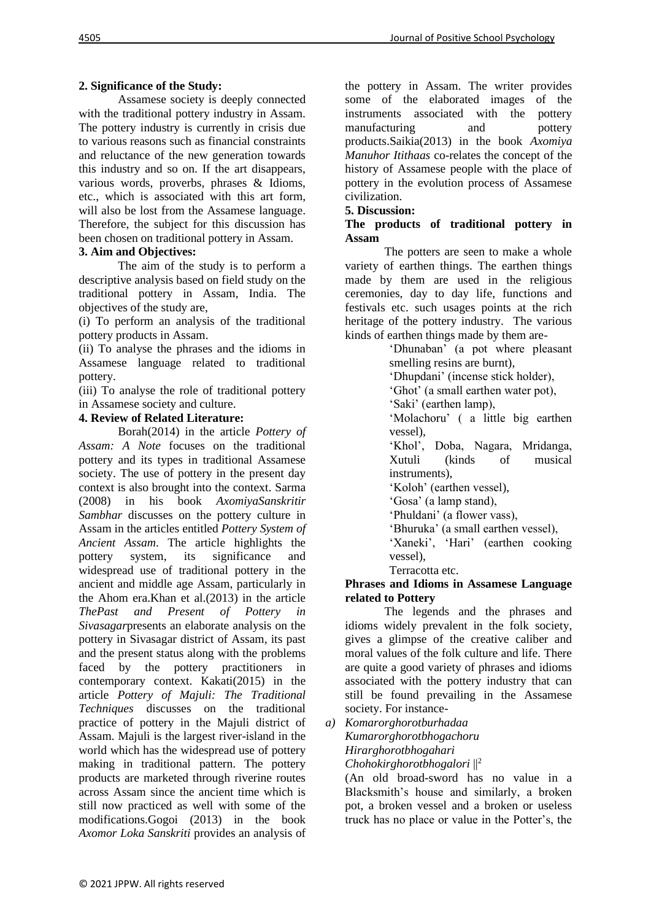# **2. Significance of the Study:**

Assamese society is deeply connected with the traditional pottery industry in Assam. The pottery industry is currently in crisis due to various reasons such as financial constraints and reluctance of the new generation towards this industry and so on. If the art disappears, various words, proverbs, phrases & Idioms, etc., which is associated with this art form, will also be lost from the Assamese language. Therefore, the subject for this discussion has been chosen on traditional pottery in Assam.

# **3. Aim and Objectives:**

The aim of the study is to perform a descriptive analysis based on field study on the traditional pottery in Assam, India. The objectives of the study are,

(i) To perform an analysis of the traditional pottery products in Assam.

(ii) To analyse the phrases and the idioms in Assamese language related to traditional pottery.

(iii) To analyse the role of traditional pottery in Assamese society and culture.

## **4. Review of Related Literature:**

Borah(2014) in the article *Pottery of Assam: A Note* focuses on the traditional pottery and its types in traditional Assamese society. The use of pottery in the present day context is also brought into the context. Sarma (2008) in his book *AxomiyaSanskritir Sambhar* discusses on the pottery culture in Assam in the articles entitled *Pottery System of Ancient Assam*. The article highlights the pottery system, its significance and widespread use of traditional pottery in the ancient and middle age Assam, particularly in the Ahom era.Khan et al.(2013) in the article *ThePast and Present of Pottery in Sivasagar*presents an elaborate analysis on the pottery in Sivasagar district of Assam, its past and the present status along with the problems faced by the pottery practitioners in contemporary context. Kakati(2015) in the article *Pottery of Majuli: The Traditional Techniques* discusses on the traditional practice of pottery in the Majuli district of Assam. Majuli is the largest river-island in the world which has the widespread use of pottery making in traditional pattern. The pottery products are marketed through riverine routes across Assam since the ancient time which is still now practiced as well with some of the modifications.Gogoi (2013) in the book *Axomor Loka Sanskriti* provides an analysis of

the pottery in Assam. The writer provides some of the elaborated images of the instruments associated with the pottery manufacturing and pottery products.Saikia(2013) in the book *Axomiya Manuhor Itithaas* co-relates the concept of the history of Assamese people with the place of pottery in the evolution process of Assamese civilization.

#### **5. Discussion:**

#### **The products of traditional pottery in Assam**

The potters are seen to make a whole variety of earthen things. The earthen things made by them are used in the religious ceremonies, day to day life, functions and festivals etc. such usages points at the rich heritage of the pottery industry. The various kinds of earthen things made by them are-

'Dhunaban' (a pot where pleasant smelling resins are burnt),

'Dhupdani' (incense stick holder),

'Ghot' (a small earthen water pot),

'Saki' (earthen lamp),

'Molachoru' ( a little big earthen vessel),

'Khol', Doba, Nagara, Mridanga, Xutuli (kinds of musical instruments),

'Koloh' (earthen vessel),

'Gosa' (a lamp stand),

'Phuldani' (a flower vass),

'Bhuruka' (a small earthen vessel),

'Xaneki', 'Hari' (earthen cooking vessel),

Terracotta etc.

## **Phrases and Idioms in Assamese Language related to Pottery**

The legends and the phrases and idioms widely prevalent in the folk society, gives a glimpse of the creative caliber and moral values of the folk culture and life. There are quite a good variety of phrases and idioms associated with the pottery industry that can still be found prevailing in the Assamese society. For instance-

*a) Komarorghorotburhadaa Kumarorghorotbhogachoru Hirarghorotbhogahari*

*Chohokirghorotbhogalori* ||<sup>2</sup>

(An old broad-sword has no value in a Blacksmith's house and similarly, a broken pot, a broken vessel and a broken or useless truck has no place or value in the Potter's, the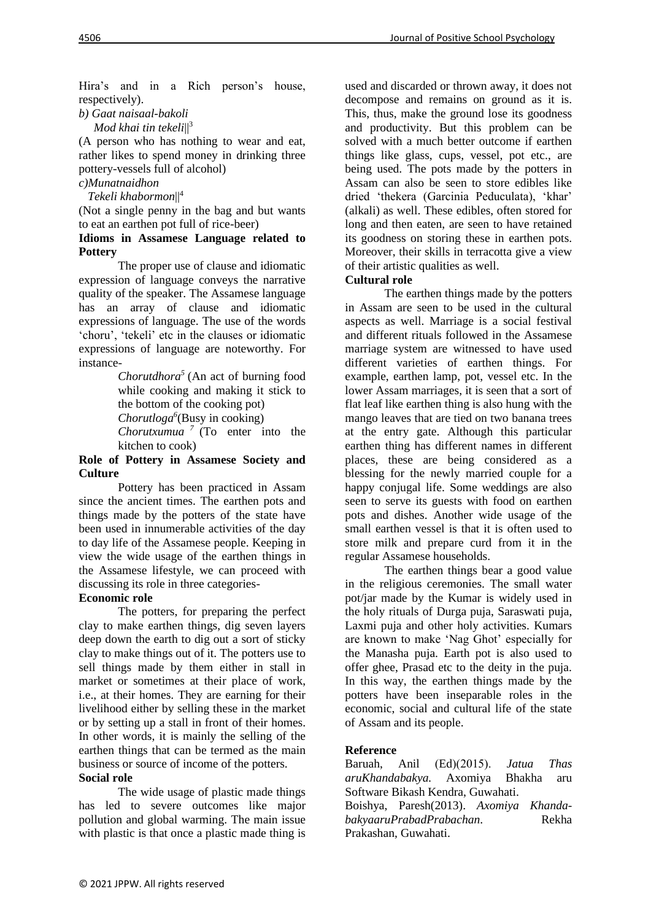Hira's and in a Rich person's house, respectively).

*b) Gaat naisaal-bakoli*

 *Mod khai tin tekeli*||<sup>3</sup>

(A person who has nothing to wear and eat, rather likes to spend money in drinking three pottery-vessels full of alcohol)

# *c)Munatnaidhon*

 *Tekeli khabormon*||<sup>4</sup>

(Not a single penny in the bag and but wants to eat an earthen pot full of rice-beer)

#### **Idioms in Assamese Language related to Pottery**

The proper use of clause and idiomatic expression of language conveys the narrative quality of the speaker. The Assamese language has an array of clause and idiomatic expressions of language. The use of the words 'choru', 'tekeli' etc in the clauses or idiomatic expressions of language are noteworthy. For instance-

> *Chorutdhora*<sup> $5$ </sup> (An act of burning food while cooking and making it stick to the bottom of the cooking pot) *Chorutloga<sup>6</sup>* (Busy in cooking) *Chorutxumua <sup>7</sup>* (To enter into the kitchen to cook)

#### **Role of Pottery in Assamese Society and Culture**

Pottery has been practiced in Assam since the ancient times. The earthen pots and things made by the potters of the state have been used in innumerable activities of the day to day life of the Assamese people. Keeping in view the wide usage of the earthen things in the Assamese lifestyle, we can proceed with discussing its role in three categories-

## **Economic role**

The potters, for preparing the perfect clay to make earthen things, dig seven layers deep down the earth to dig out a sort of sticky clay to make things out of it. The potters use to sell things made by them either in stall in market or sometimes at their place of work, i.e., at their homes. They are earning for their livelihood either by selling these in the market or by setting up a stall in front of their homes. In other words, it is mainly the selling of the earthen things that can be termed as the main business or source of income of the potters. **Social role**

The wide usage of plastic made things has led to severe outcomes like major pollution and global warming. The main issue with plastic is that once a plastic made thing is

used and discarded or thrown away, it does not decompose and remains on ground as it is. This, thus, make the ground lose its goodness and productivity. But this problem can be solved with a much better outcome if earthen things like glass, cups, vessel, pot etc., are being used. The pots made by the potters in Assam can also be seen to store edibles like dried 'thekera (Garcinia Peduculata), 'khar' (alkali) as well. These edibles, often stored for long and then eaten, are seen to have retained its goodness on storing these in earthen pots. Moreover, their skills in terracotta give a view of their artistic qualities as well.

## **Cultural role**

The earthen things made by the potters in Assam are seen to be used in the cultural aspects as well. Marriage is a social festival and different rituals followed in the Assamese marriage system are witnessed to have used different varieties of earthen things. For example, earthen lamp, pot, vessel etc. In the lower Assam marriages, it is seen that a sort of flat leaf like earthen thing is also hung with the mango leaves that are tied on two banana trees at the entry gate. Although this particular earthen thing has different names in different places, these are being considered as a blessing for the newly married couple for a happy conjugal life. Some weddings are also seen to serve its guests with food on earthen pots and dishes. Another wide usage of the small earthen vessel is that it is often used to store milk and prepare curd from it in the regular Assamese households.

The earthen things bear a good value in the religious ceremonies. The small water pot/jar made by the Kumar is widely used in the holy rituals of Durga puja, Saraswati puja, Laxmi puja and other holy activities. Kumars are known to make 'Nag Ghot' especially for the Manasha puja. Earth pot is also used to offer ghee, Prasad etc to the deity in the puja. In this way, the earthen things made by the potters have been inseparable roles in the economic, social and cultural life of the state of Assam and its people.

## **Reference**

Baruah, Anil (Ed)(2015). *Jatua Thas aruKhandabakya.* Axomiya Bhakha aru Software Bikash Kendra, Guwahati.

Boishya, Paresh(2013). *Axomiya KhandabakyaaruPrabadPrabachan*. Rekha Prakashan, Guwahati.